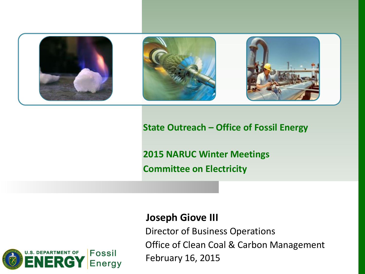

#### **State Outreach – Office of Fossil Energy**

**2015 NARUC Winter Meetings Committee on Electricity**



#### **Joseph Giove III**

Director of Business Operations Office of Clean Coal & Carbon Management February 16, 2015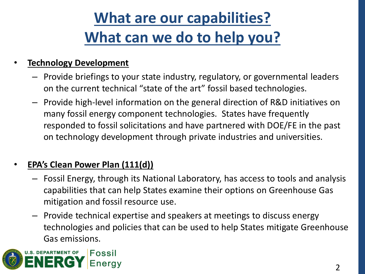# **What are our capabilities? What can we do to help you?**

### • **Technology Development**

- Provide briefings to your state industry, regulatory, or governmental leaders on the current technical "state of the art" fossil based technologies.
- Provide high-level information on the general direction of R&D initiatives on many fossil energy component technologies. States have frequently responded to fossil solicitations and have partnered with DOE/FE in the past on technology development through private industries and universities.

### • **EPA's Clean Power Plan (111(d))**

- Fossil Energy, through its National Laboratory, has access to tools and analysis capabilities that can help States examine their options on Greenhouse Gas mitigation and fossil resource use.
- Provide technical expertise and speakers at meetings to discuss energy technologies and policies that can be used to help States mitigate Greenhouse Gas emissions.

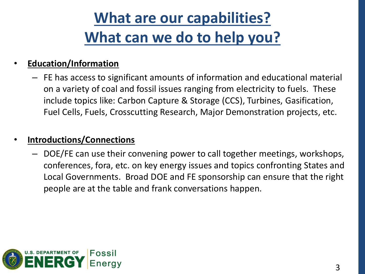# **What are our capabilities? What can we do to help you?**

#### • **Education/Information**

– FE has access to significant amounts of information and educational material on a variety of coal and fossil issues ranging from electricity to fuels. These include topics like: Carbon Capture & Storage (CCS), Turbines, Gasification, Fuel Cells, Fuels, Crosscutting Research, Major Demonstration projects, etc.

#### • **Introductions/Connections**

– DOE/FE can use their convening power to call together meetings, workshops, conferences, fora, etc. on key energy issues and topics confronting States and Local Governments. Broad DOE and FE sponsorship can ensure that the right people are at the table and frank conversations happen.